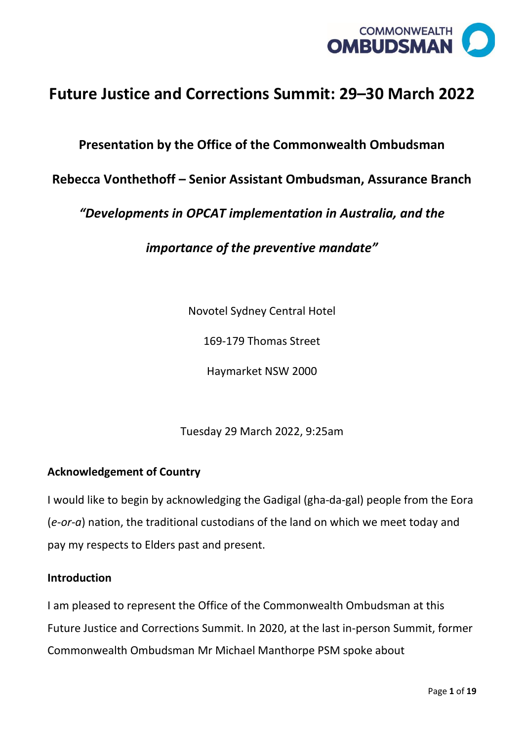

# **Future Justice and Corrections Summit: 29–30 March 2022**

# **Presentation by the Office of the Commonwealth Ombudsman**

# **Rebecca Vonthethoff – Senior Assistant Ombudsman, Assurance Branch**

*"Developments in OPCAT implementation in Australia, and the* 

*importance of the preventive mandate"*

Novotel Sydney Central Hotel

169-179 Thomas Street

Haymarket NSW 2000

Tuesday 29 March 2022, 9:25am

#### **Acknowledgement of Country**

I would like to begin by acknowledging the Gadigal (gha-da-gal) people from the Eora (*e-or-a*) nation, the traditional custodians of the land on which we meet today and pay my respects to Elders past and present.

#### **Introduction**

I am pleased to represent the Office of the Commonwealth Ombudsman at this Future Justice and Corrections Summit. In 2020, at the last in-person Summit, former Commonwealth Ombudsman Mr Michael Manthorpe PSM spoke about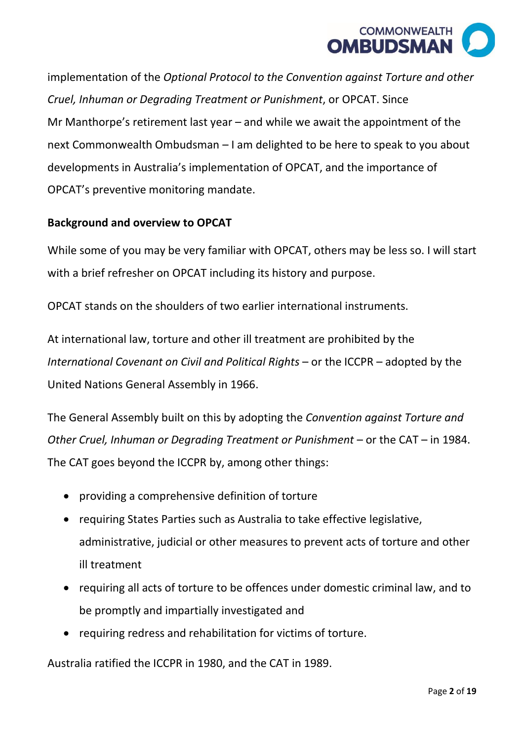

implementation of the *Optional Protocol to the Convention against Torture and other Cruel, Inhuman or Degrading Treatment or Punishment*, or OPCAT. Since Mr Manthorpe's retirement last year – and while we await the appointment of the next Commonwealth Ombudsman – I am delighted to be here to speak to you about developments in Australia's implementation of OPCAT, and the importance of OPCAT's preventive monitoring mandate.

# **Background and overview to OPCAT**

While some of you may be very familiar with OPCAT, others may be less so. I will start with a brief refresher on OPCAT including its history and purpose.

OPCAT stands on the shoulders of two earlier international instruments.

At international law, torture and other ill treatment are prohibited by the *International Covenant on Civil and Political Rights* – or the ICCPR – adopted by the United Nations General Assembly in 1966.

The General Assembly built on this by adopting the *Convention against Torture and Other Cruel, Inhuman or Degrading Treatment or Punishment* – or the CAT – in 1984. The CAT goes beyond the ICCPR by, among other things:

- providing a comprehensive definition of torture
- requiring States Parties such as Australia to take effective legislative, administrative, judicial or other measures to prevent acts of torture and other ill treatment
- requiring all acts of torture to be offences under domestic criminal law, and to be promptly and impartially investigated and
- requiring redress and rehabilitation for victims of torture.

Australia ratified the ICCPR in 1980, and the CAT in 1989.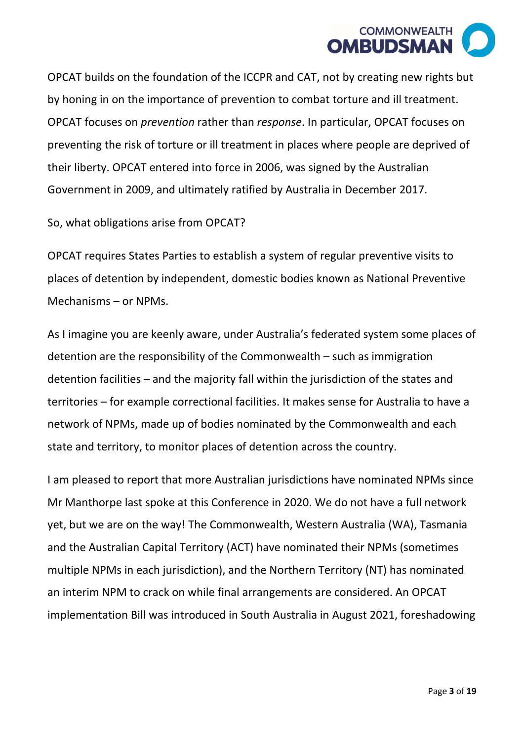

OPCAT builds on the foundation of the ICCPR and CAT, not by creating new rights but by honing in on the importance of prevention to combat torture and ill treatment. OPCAT focuses on *prevention* rather than *response*. In particular, OPCAT focuses on preventing the risk of torture or ill treatment in places where people are deprived of their liberty. OPCAT entered into force in 2006, was signed by the Australian Government in 2009, and ultimately ratified by Australia in December 2017.

So, what obligations arise from OPCAT?

OPCAT requires States Parties to establish a system of regular preventive visits to places of detention by independent, domestic bodies known as National Preventive Mechanisms – or NPMs.

As I imagine you are keenly aware, under Australia's federated system some places of detention are the responsibility of the Commonwealth – such as immigration detention facilities – and the majority fall within the jurisdiction of the states and territories – for example correctional facilities. It makes sense for Australia to have a network of NPMs, made up of bodies nominated by the Commonwealth and each state and territory, to monitor places of detention across the country.

I am pleased to report that more Australian jurisdictions have nominated NPMs since Mr Manthorpe last spoke at this Conference in 2020. We do not have a full network yet, but we are on the way! The Commonwealth, Western Australia (WA), Tasmania and the Australian Capital Territory (ACT) have nominated their NPMs (sometimes multiple NPMs in each jurisdiction), and the Northern Territory (NT) has nominated an interim NPM to crack on while final arrangements are considered. An OPCAT implementation Bill was introduced in South Australia in August 2021, foreshadowing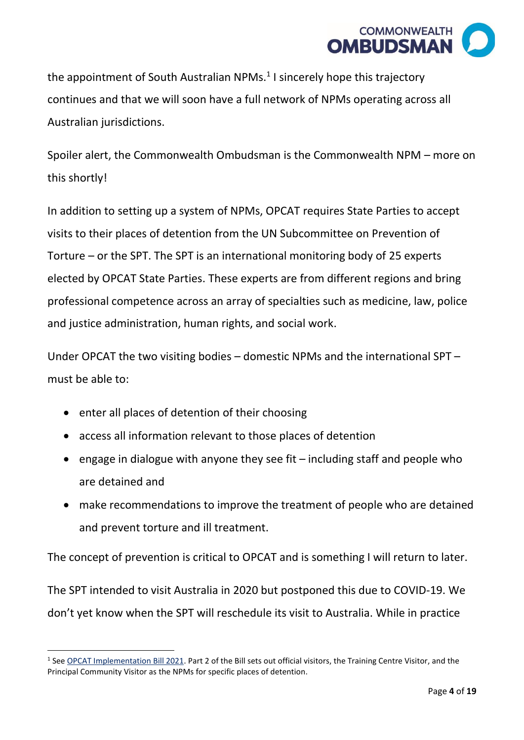

the appointment of South Australian NPMs. $<sup>1</sup>$  I sincerely hope this trajectory</sup> continues and that we will soon have a full network of NPMs operating across all Australian jurisdictions.

Spoiler alert, the Commonwealth Ombudsman is the Commonwealth NPM – more on this shortly!

In addition to setting up a system of NPMs, OPCAT requires State Parties to accept visits to their places of detention from the UN Subcommittee on Prevention of Torture – or the SPT. The SPT is an international monitoring body of 25 experts elected by OPCAT State Parties. These experts are from different regions and bring professional competence across an array of specialties such as medicine, law, police and justice administration, human rights, and social work.

Under OPCAT the two visiting bodies – domestic NPMs and the international SPT – must be able to:

- enter all places of detention of their choosing
- access all information relevant to those places of detention
- engage in dialogue with anyone they see fit including staff and people who are detained and
- make recommendations to improve the treatment of people who are detained and prevent torture and ill treatment.

The concept of prevention is critical to OPCAT and is something I will return to later.

The SPT intended to visit Australia in 2020 but postponed this due to COVID-19. We don't yet know when the SPT will reschedule its visit to Australia. While in practice

<sup>&</sup>lt;sup>1</sup> See **OPCAT Implementation Bill 2021</u>**. Part 2 of the Bill sets out official visitors, the Training Centre Visitor, and the Principal Community Visitor as the NPMs for specific places of detention.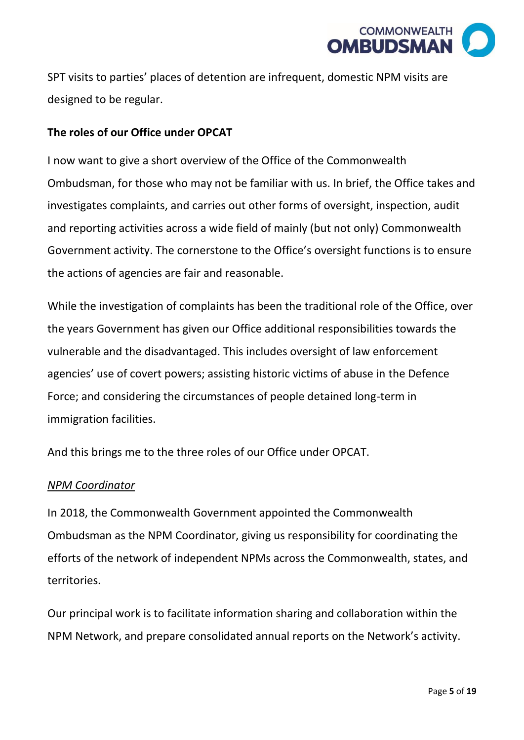

SPT visits to parties' places of detention are infrequent, domestic NPM visits are designed to be regular.

### **The roles of our Office under OPCAT**

I now want to give a short overview of the Office of the Commonwealth Ombudsman, for those who may not be familiar with us. In brief, the Office takes and investigates complaints, and carries out other forms of oversight, inspection, audit and reporting activities across a wide field of mainly (but not only) Commonwealth Government activity. The cornerstone to the Office's oversight functions is to ensure the actions of agencies are fair and reasonable.

While the investigation of complaints has been the traditional role of the Office, over the years Government has given our Office additional responsibilities towards the vulnerable and the disadvantaged. This includes oversight of law enforcement agencies' use of covert powers; assisting historic victims of abuse in the Defence Force; and considering the circumstances of people detained long-term in immigration facilities.

And this brings me to the three roles of our Office under OPCAT.

#### *NPM Coordinator*

In 2018, the Commonwealth Government appointed the Commonwealth Ombudsman as the NPM Coordinator, giving us responsibility for coordinating the efforts of the network of independent NPMs across the Commonwealth, states, and territories.

Our principal work is to facilitate information sharing and collaboration within the NPM Network, and prepare consolidated annual reports on the Network's activity.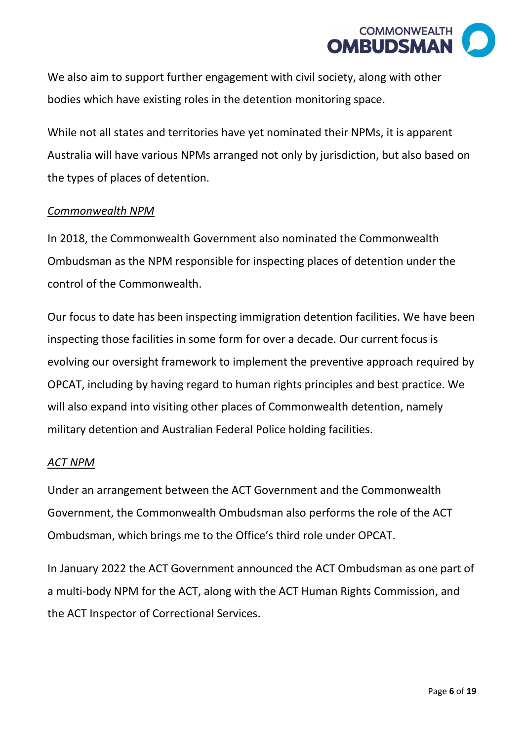

We also aim to support further engagement with civil society, along with other bodies which have existing roles in the detention monitoring space.

While not all states and territories have yet nominated their NPMs, it is apparent Australia will have various NPMs arranged not only by jurisdiction, but also based on the types of places of detention.

#### *Commonwealth NPM*

In 2018, the Commonwealth Government also nominated the Commonwealth Ombudsman as the NPM responsible for inspecting places of detention under the control of the Commonwealth.

Our focus to date has been inspecting immigration detention facilities. We have been inspecting those facilities in some form for over a decade. Our current focus is evolving our oversight framework to implement the preventive approach required by OPCAT, including by having regard to human rights principles and best practice. We will also expand into visiting other places of Commonwealth detention, namely military detention and Australian Federal Police holding facilities.

#### *ACT NPM*

Under an arrangement between the ACT Government and the Commonwealth Government, the Commonwealth Ombudsman also performs the role of the ACT Ombudsman, which brings me to the Office's third role under OPCAT.

In January 2022 the ACT Government announced the ACT Ombudsman as one part of a multi-body NPM for the ACT, along with the ACT Human Rights Commission, and the ACT Inspector of Correctional Services.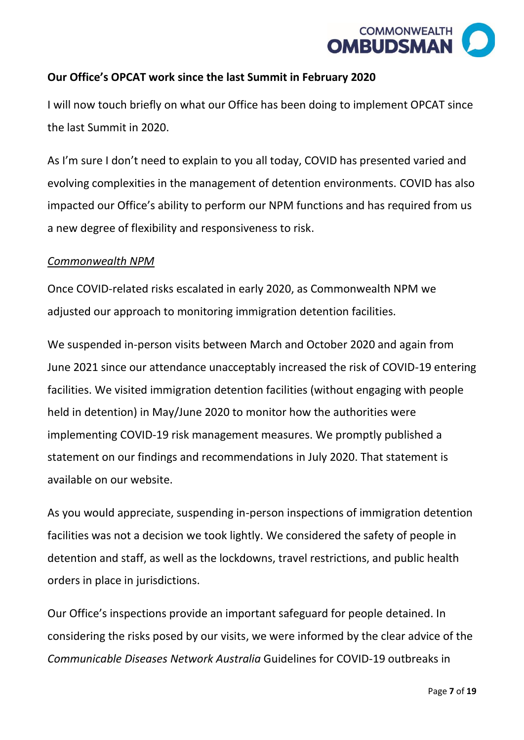

# **Our Office's OPCAT work since the last Summit in February 2020**

I will now touch briefly on what our Office has been doing to implement OPCAT since the last Summit in 2020.

As I'm sure I don't need to explain to you all today, COVID has presented varied and evolving complexities in the management of detention environments. COVID has also impacted our Office's ability to perform our NPM functions and has required from us a new degree of flexibility and responsiveness to risk.

#### *Commonwealth NPM*

Once COVID-related risks escalated in early 2020, as Commonwealth NPM we adjusted our approach to monitoring immigration detention facilities.

We suspended in-person visits between March and October 2020 and again from June 2021 since our attendance unacceptably increased the risk of COVID-19 entering facilities. We visited immigration detention facilities (without engaging with people held in detention) in May/June 2020 to monitor how the authorities were implementing COVID-19 risk management measures. We promptly published a statement on our findings and recommendations in July 2020. That statement is available on our website.

As you would appreciate, suspending in-person inspections of immigration detention facilities was not a decision we took lightly. We considered the safety of people in detention and staff, as well as the lockdowns, travel restrictions, and public health orders in place in jurisdictions.

Our Office's inspections provide an important safeguard for people detained. In considering the risks posed by our visits, we were informed by the clear advice of the *Communicable Diseases Network Australia* Guidelines for COVID-19 outbreaks in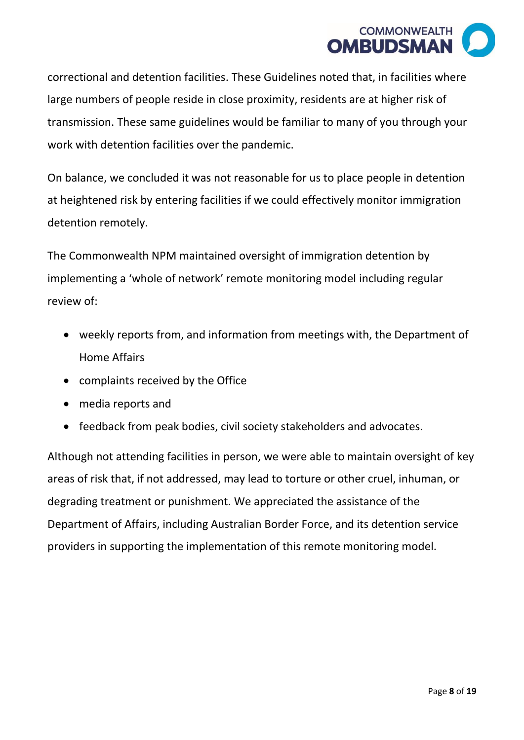

correctional and detention facilities. These Guidelines noted that, in facilities where large numbers of people reside in close proximity, residents are at higher risk of transmission. These same guidelines would be familiar to many of you through your work with detention facilities over the pandemic.

On balance, we concluded it was not reasonable for us to place people in detention at heightened risk by entering facilities if we could effectively monitor immigration detention remotely.

The Commonwealth NPM maintained oversight of immigration detention by implementing a 'whole of network' remote monitoring model including regular review of:

- weekly reports from, and information from meetings with, the Department of Home Affairs
- complaints received by the Office
- media reports and
- feedback from peak bodies, civil society stakeholders and advocates.

Although not attending facilities in person, we were able to maintain oversight of key areas of risk that, if not addressed, may lead to torture or other cruel, inhuman, or degrading treatment or punishment. We appreciated the assistance of the Department of Affairs, including Australian Border Force, and its detention service providers in supporting the implementation of this remote monitoring model.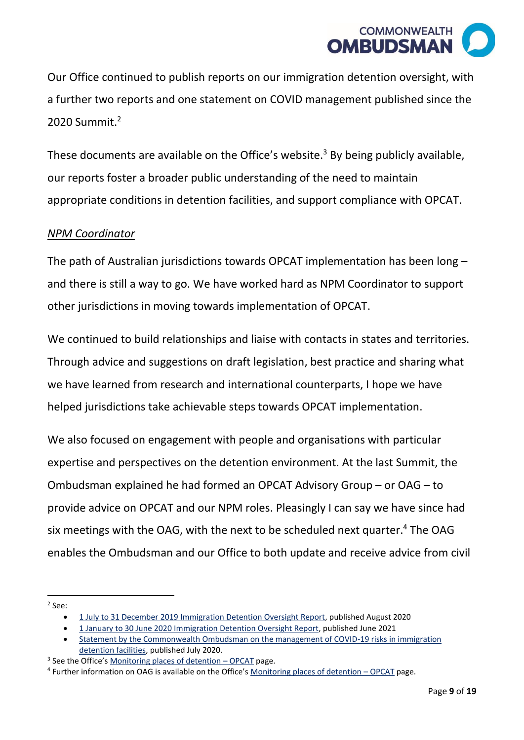

Our Office continued to publish reports on our immigration detention oversight, with a further two reports and one statement on COVID management published since the  $2020$  Summit $^2$ 

These documents are available on the Office's website.<sup>3</sup> By being publicly available, our reports foster a broader public understanding of the need to maintain appropriate conditions in detention facilities, and support compliance with OPCAT.

#### *NPM Coordinator*

The path of Australian jurisdictions towards OPCAT implementation has been long – and there is still a way to go. We have worked hard as NPM Coordinator to support other jurisdictions in moving towards implementation of OPCAT.

We continued to build relationships and liaise with contacts in states and territories. Through advice and suggestions on draft legislation, best practice and sharing what we have learned from research and international counterparts, I hope we have helped jurisdictions take achievable steps towards OPCAT implementation.

We also focused on engagement with people and organisations with particular expertise and perspectives on the detention environment. At the last Summit, the Ombudsman explained he had formed an OPCAT Advisory Group – or OAG – to provide advice on OPCAT and our NPM roles. Pleasingly I can say we have since had six meetings with the OAG, with the next to be scheduled next quarter. <sup>4</sup> The OAG enables the Ombudsman and our Office to both update and receive advice from civil

2 See:

<sup>•</sup> [1 July to 31 December 2019 Immigration Detention Oversight Report,](https://www.ombudsman.gov.au/__data/assets/pdf_file/0015/111390/Six-monthly-immigration-detention-report-Jul-Dec-2019.pdf) published August 2020

<sup>•</sup> [1 January to 30 June 2020 Immigration Detention Oversight Report,](https://www.ombudsman.gov.au/__data/assets/pdf_file/0015/112560/Report-No.-04_2021-Monitoring-Immigration-Detention-The-Ombudsmans-activities-in-overseeing-immigraiton-detention-January-June-2020-A2184717.pdf) published June 2021

<sup>•</sup> [Statement by the Commonwealth Ombudsman on the management of COVID-19 risks in immigration](https://www.ombudsman.gov.au/__data/assets/pdf_file/0017/111950/1-July-2020-Statement-by-the-Commonwealth-Ombudsman-Michael-Manthorpe-on-the-management-of-COVID-19-risks-in-immigration-detention-facilities.pdf)  [detention facilities,](https://www.ombudsman.gov.au/__data/assets/pdf_file/0017/111950/1-July-2020-Statement-by-the-Commonwealth-Ombudsman-Michael-Manthorpe-on-the-management-of-COVID-19-risks-in-immigration-detention-facilities.pdf) published July 2020.

<sup>&</sup>lt;sup>3</sup> See the Office's [Monitoring places of detention](https://www.ombudsman.gov.au/what-we-do/monitoring-places-of-detention-opcat) - OPCAT page.

<sup>&</sup>lt;sup>4</sup> Further information on OAG is available on the Office's [Monitoring places of detention](https://www.ombudsman.gov.au/what-we-do/monitoring-places-of-detention-opcat) - OPCAT page.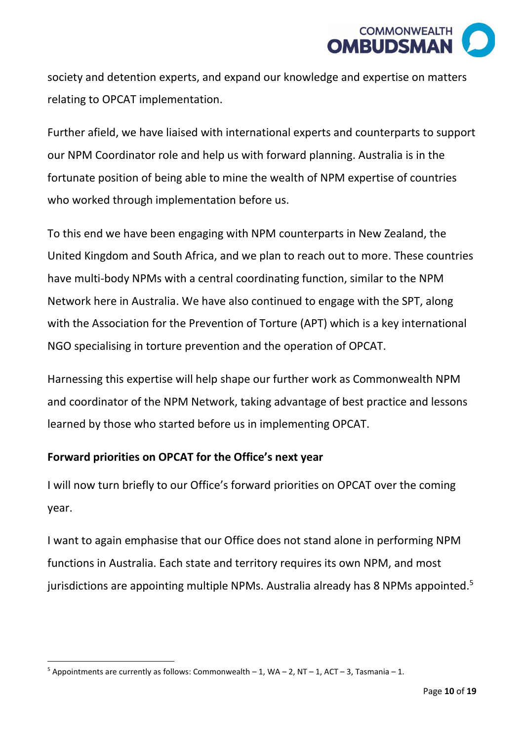

society and detention experts, and expand our knowledge and expertise on matters relating to OPCAT implementation.

Further afield, we have liaised with international experts and counterparts to support our NPM Coordinator role and help us with forward planning. Australia is in the fortunate position of being able to mine the wealth of NPM expertise of countries who worked through implementation before us.

To this end we have been engaging with NPM counterparts in New Zealand, the United Kingdom and South Africa, and we plan to reach out to more. These countries have multi-body NPMs with a central coordinating function, similar to the NPM Network here in Australia. We have also continued to engage with the SPT, along with the Association for the Prevention of Torture (APT) which is a key international NGO specialising in torture prevention and the operation of OPCAT.

Harnessing this expertise will help shape our further work as Commonwealth NPM and coordinator of the NPM Network, taking advantage of best practice and lessons learned by those who started before us in implementing OPCAT.

#### **Forward priorities on OPCAT for the Office's next year**

I will now turn briefly to our Office's forward priorities on OPCAT over the coming year.

I want to again emphasise that our Office does not stand alone in performing NPM functions in Australia. Each state and territory requires its own NPM, and most jurisdictions are appointing multiple NPMs. Australia already has 8 NPMs appointed.<sup>5</sup>

 $5$  Appointments are currently as follows: Commonwealth  $-1$ , WA  $-2$ , NT  $-1$ , ACT  $-3$ , Tasmania  $-1$ .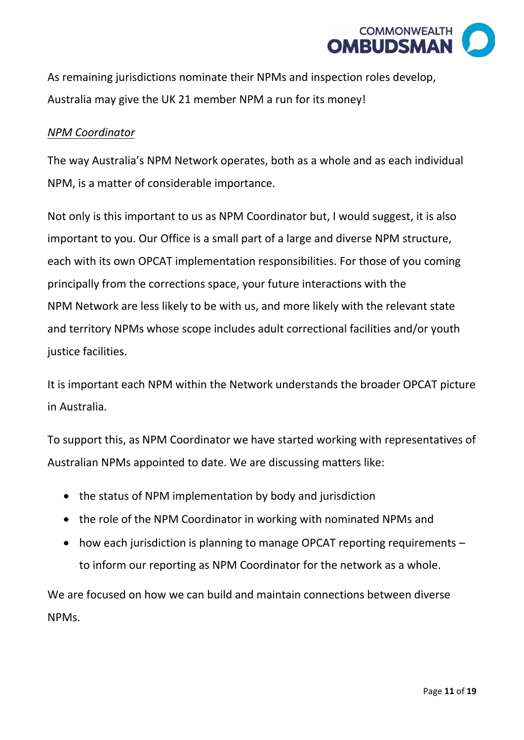

As remaining jurisdictions nominate their NPMs and inspection roles develop, Australia may give the UK 21 member NPM a run for its money!

#### *NPM Coordinator*

The way Australia's NPM Network operates, both as a whole and as each individual NPM, is a matter of considerable importance.

Not only is this important to us as NPM Coordinator but, I would suggest, it is also important to you. Our Office is a small part of a large and diverse NPM structure, each with its own OPCAT implementation responsibilities. For those of you coming principally from the corrections space, your future interactions with the NPM Network are less likely to be with us, and more likely with the relevant state and territory NPMs whose scope includes adult correctional facilities and/or youth justice facilities.

It is important each NPM within the Network understands the broader OPCAT picture in Australia.

To support this, as NPM Coordinator we have started working with representatives of Australian NPMs appointed to date. We are discussing matters like:

- the status of NPM implementation by body and jurisdiction
- the role of the NPM Coordinator in working with nominated NPMs and
- how each jurisdiction is planning to manage OPCAT reporting requirements to inform our reporting as NPM Coordinator for the network as a whole.

We are focused on how we can build and maintain connections between diverse NPMs.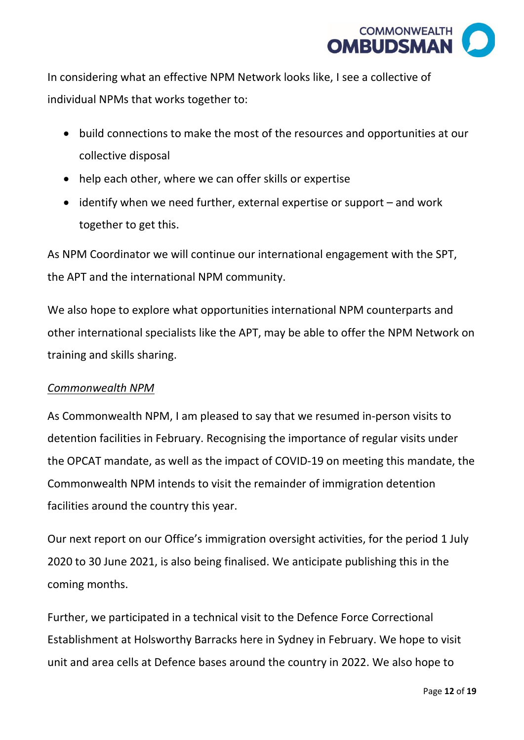

In considering what an effective NPM Network looks like, I see a collective of individual NPMs that works together to:

- build connections to make the most of the resources and opportunities at our collective disposal
- help each other, where we can offer skills or expertise
- identify when we need further, external expertise or support and work together to get this.

As NPM Coordinator we will continue our international engagement with the SPT, the APT and the international NPM community.

We also hope to explore what opportunities international NPM counterparts and other international specialists like the APT, may be able to offer the NPM Network on training and skills sharing.

#### *Commonwealth NPM*

As Commonwealth NPM, I am pleased to say that we resumed in-person visits to detention facilities in February. Recognising the importance of regular visits under the OPCAT mandate, as well as the impact of COVID-19 on meeting this mandate, the Commonwealth NPM intends to visit the remainder of immigration detention facilities around the country this year.

Our next report on our Office's immigration oversight activities, for the period 1 July 2020 to 30 June 2021, is also being finalised. We anticipate publishing this in the coming months.

Further, we participated in a technical visit to the Defence Force Correctional Establishment at Holsworthy Barracks here in Sydney in February. We hope to visit unit and area cells at Defence bases around the country in 2022. We also hope to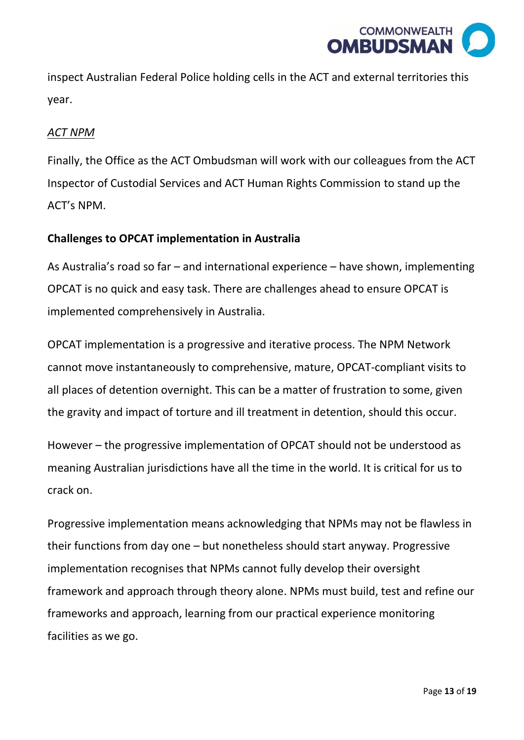

inspect Australian Federal Police holding cells in the ACT and external territories this year.

#### *ACT NPM*

Finally, the Office as the ACT Ombudsman will work with our colleagues from the ACT Inspector of Custodial Services and ACT Human Rights Commission to stand up the ACT's NPM.

#### **Challenges to OPCAT implementation in Australia**

As Australia's road so far – and international experience – have shown, implementing OPCAT is no quick and easy task. There are challenges ahead to ensure OPCAT is implemented comprehensively in Australia.

OPCAT implementation is a progressive and iterative process. The NPM Network cannot move instantaneously to comprehensive, mature, OPCAT-compliant visits to all places of detention overnight. This can be a matter of frustration to some, given the gravity and impact of torture and ill treatment in detention, should this occur.

However – the progressive implementation of OPCAT should not be understood as meaning Australian jurisdictions have all the time in the world. It is critical for us to crack on.

Progressive implementation means acknowledging that NPMs may not be flawless in their functions from day one – but nonetheless should start anyway. Progressive implementation recognises that NPMs cannot fully develop their oversight framework and approach through theory alone. NPMs must build, test and refine our frameworks and approach, learning from our practical experience monitoring facilities as we go.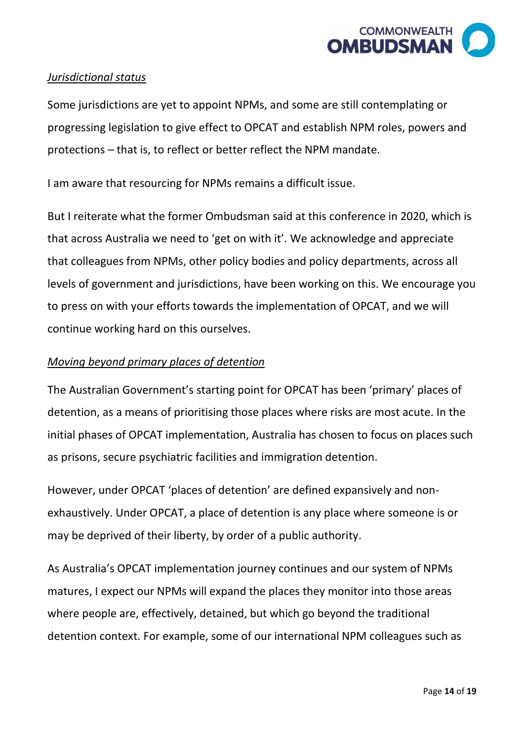

#### *Jurisdictional status*

Some jurisdictions are yet to appoint NPMs, and some are still contemplating or progressing legislation to give effect to OPCAT and establish NPM roles, powers and protections – that is, to reflect or better reflect the NPM mandate.

I am aware that resourcing for NPMs remains a difficult issue.

But I reiterate what the former Ombudsman said at this conference in 2020, which is that across Australia we need to 'get on with it'. We acknowledge and appreciate that colleagues from NPMs, other policy bodies and policy departments, across all levels of government and jurisdictions, have been working on this. We encourage you to press on with your efforts towards the implementation of OPCAT, and we will continue working hard on this ourselves.

# *Moving beyond primary places of detention*

The Australian Government's starting point for OPCAT has been 'primary' places of detention, as a means of prioritising those places where risks are most acute. In the initial phases of OPCAT implementation, Australia has chosen to focus on places such as prisons, secure psychiatric facilities and immigration detention.

However, under OPCAT 'places of detention' are defined expansively and nonexhaustively. Under OPCAT, a place of detention is any place where someone is or may be deprived of their liberty, by order of a public authority.

As Australia's OPCAT implementation journey continues and our system of NPMs matures, I expect our NPMs will expand the places they monitor into those areas where people are, effectively, detained, but which go beyond the traditional detention context. For example, some of our international NPM colleagues such as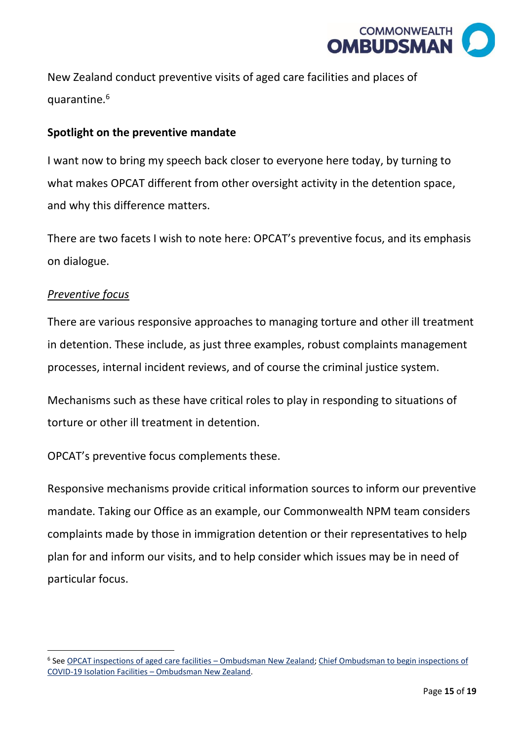

New Zealand conduct preventive visits of aged care facilities and places of quarantine.<sup>6</sup>

#### **Spotlight on the preventive mandate**

I want now to bring my speech back closer to everyone here today, by turning to what makes OPCAT different from other oversight activity in the detention space, and why this difference matters.

There are two facets I wish to note here: OPCAT's preventive focus, and its emphasis on dialogue.

#### *Preventive focus*

There are various responsive approaches to managing torture and other ill treatment in detention. These include, as just three examples, robust complaints management processes, internal incident reviews, and of course the criminal justice system.

Mechanisms such as these have critical roles to play in responding to situations of torture or other ill treatment in detention.

OPCAT's preventive focus complements these.

Responsive mechanisms provide critical information sources to inform our preventive mandate. Taking our Office as an example, our Commonwealth NPM team considers complaints made by those in immigration detention or their representatives to help plan for and inform our visits, and to help consider which issues may be in need of particular focus.

<sup>&</sup>lt;sup>6</sup> See [OPCAT inspections of aged care facilities](https://www.ombudsman.parliament.nz/what-ombudsman-can-help/aged-care-monitoring/opcat-inspections-aged-care-facilities) - Ombudsman New Zealand; Chief Ombudsman to begin inspections of [COVID-19 Isolation Facilities](https://www.ombudsman.parliament.nz/news/chief-ombudsman-begin-inspections-covid-19-isolation-facilities) – Ombudsman New Zealand.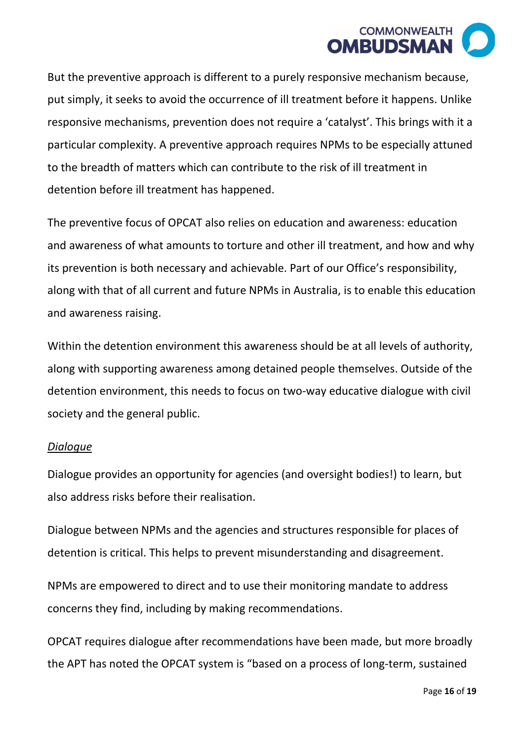

But the preventive approach is different to a purely responsive mechanism because, put simply, it seeks to avoid the occurrence of ill treatment before it happens. Unlike responsive mechanisms, prevention does not require a 'catalyst'. This brings with it a particular complexity. A preventive approach requires NPMs to be especially attuned to the breadth of matters which can contribute to the risk of ill treatment in detention before ill treatment has happened.

The preventive focus of OPCAT also relies on education and awareness: education and awareness of what amounts to torture and other ill treatment, and how and why its prevention is both necessary and achievable. Part of our Office's responsibility, along with that of all current and future NPMs in Australia, is to enable this education and awareness raising.

Within the detention environment this awareness should be at all levels of authority, along with supporting awareness among detained people themselves. Outside of the detention environment, this needs to focus on two-way educative dialogue with civil society and the general public.

#### *Dialogue*

Dialogue provides an opportunity for agencies (and oversight bodies!) to learn, but also address risks before their realisation.

Dialogue between NPMs and the agencies and structures responsible for places of detention is critical. This helps to prevent misunderstanding and disagreement.

NPMs are empowered to direct and to use their monitoring mandate to address concerns they find, including by making recommendations.

OPCAT requires dialogue after recommendations have been made, but more broadly the APT has noted the OPCAT system is "based on a process of long-term, sustained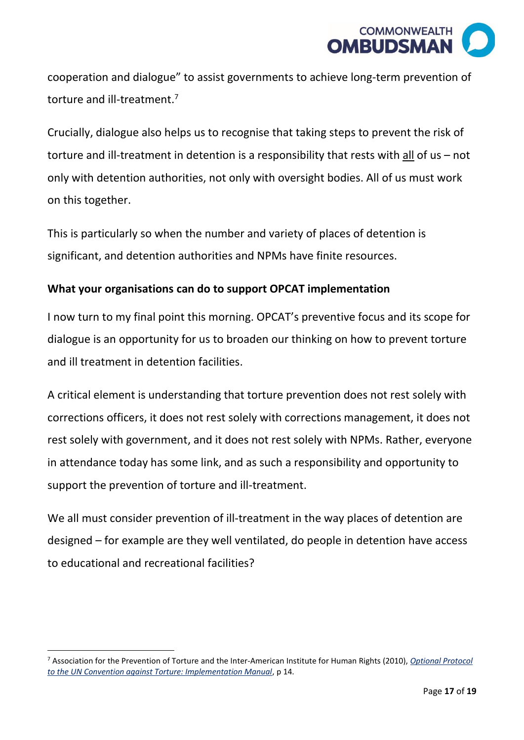

cooperation and dialogue" to assist governments to achieve long-term prevention of torture and ill-treatment.<sup>7</sup>

Crucially, dialogue also helps us to recognise that taking steps to prevent the risk of torture and ill-treatment in detention is a responsibility that rests with  $all$  of us – not only with detention authorities, not only with oversight bodies. All of us must work on this together.

This is particularly so when the number and variety of places of detention is significant, and detention authorities and NPMs have finite resources.

# **What your organisations can do to support OPCAT implementation**

I now turn to my final point this morning. OPCAT's preventive focus and its scope for dialogue is an opportunity for us to broaden our thinking on how to prevent torture and ill treatment in detention facilities.

A critical element is understanding that torture prevention does not rest solely with corrections officers, it does not rest solely with corrections management, it does not rest solely with government, and it does not rest solely with NPMs. Rather, everyone in attendance today has some link, and as such a responsibility and opportunity to support the prevention of torture and ill-treatment.

We all must consider prevention of ill-treatment in the way places of detention are designed – for example are they well ventilated, do people in detention have access to educational and recreational facilities?

<sup>7</sup> Association for the Prevention of Torture and the Inter-American Institute for Human Rights (2010), *[Optional Protocol](https://www.apt.ch/sites/default/files/publications/opcat-manual-english-revised2010.pdf)  [to the UN Convention against Torture: Implementation Manual](https://www.apt.ch/sites/default/files/publications/opcat-manual-english-revised2010.pdf)*, p 14.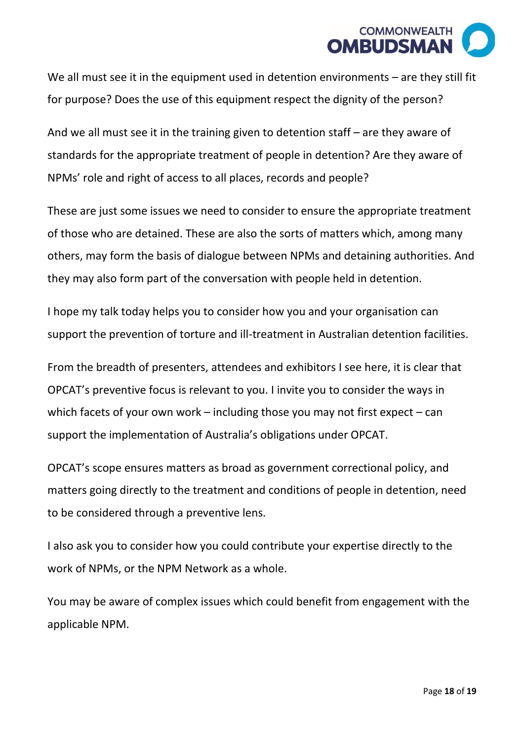

We all must see it in the equipment used in detention environments – are they still fit for purpose? Does the use of this equipment respect the dignity of the person?

And we all must see it in the training given to detention staff – are they aware of standards for the appropriate treatment of people in detention? Are they aware of NPMs' role and right of access to all places, records and people?

These are just some issues we need to consider to ensure the appropriate treatment of those who are detained. These are also the sorts of matters which, among many others, may form the basis of dialogue between NPMs and detaining authorities. And they may also form part of the conversation with people held in detention.

I hope my talk today helps you to consider how you and your organisation can support the prevention of torture and ill-treatment in Australian detention facilities.

From the breadth of presenters, attendees and exhibitors I see here, it is clear that OPCAT's preventive focus is relevant to you. I invite you to consider the ways in which facets of your own work – including those you may not first expect – can support the implementation of Australia's obligations under OPCAT.

OPCAT's scope ensures matters as broad as government correctional policy, and matters going directly to the treatment and conditions of people in detention, need to be considered through a preventive lens.

I also ask you to consider how you could contribute your expertise directly to the work of NPMs, or the NPM Network as a whole.

You may be aware of complex issues which could benefit from engagement with the applicable NPM.